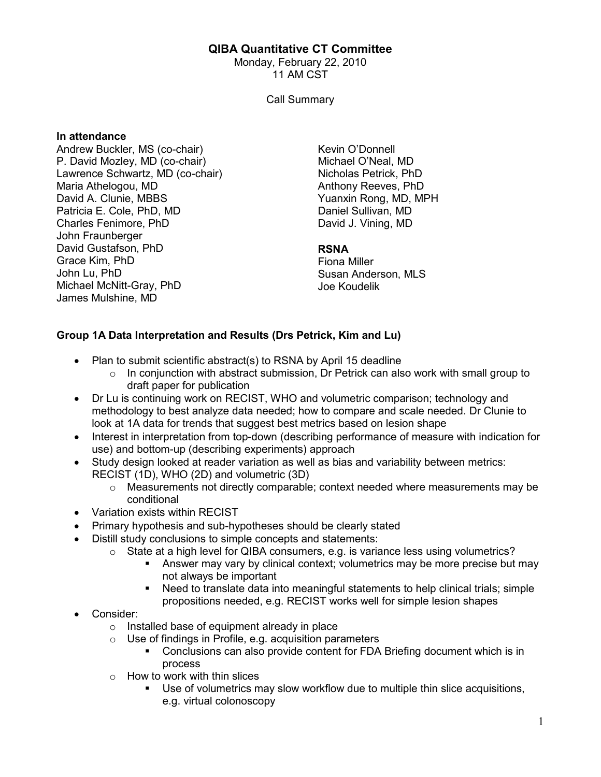# QIBA Quantitative CT Committee

Monday, February 22, 2010 11 AM CST

Call Summary

#### In attendance

Andrew Buckler, MS (co-chair) P. David Mozley, MD (co-chair) Lawrence Schwartz, MD (co-chair) Maria Athelogou, MD David A. Clunie, MBBS Patricia E. Cole, PhD, MD Charles Fenimore, PhD John Fraunberger David Gustafson, PhD Grace Kim, PhD John Lu, PhD Michael McNitt-Gray, PhD James Mulshine, MD

Kevin O'Donnell Michael O'Neal, MD Nicholas Petrick, PhD Anthony Reeves, PhD Yuanxin Rong, MD, MPH Daniel Sullivan, MD David J. Vining, MD

#### RSNA

Fiona Miller Susan Anderson, MLS Joe Koudelik

# Group 1A Data Interpretation and Results (Drs Petrick, Kim and Lu)

- Plan to submit scientific abstract(s) to RSNA by April 15 deadline
	- $\circ$  In conjunction with abstract submission, Dr Petrick can also work with small group to draft paper for publication
- Dr Lu is continuing work on RECIST, WHO and volumetric comparison; technology and methodology to best analyze data needed; how to compare and scale needed. Dr Clunie to look at 1A data for trends that suggest best metrics based on lesion shape
- Interest in interpretation from top-down (describing performance of measure with indication for use) and bottom-up (describing experiments) approach
- Study design looked at reader variation as well as bias and variability between metrics: RECIST (1D), WHO (2D) and volumetric (3D)
	- $\circ$  Measurements not directly comparable; context needed where measurements may be conditional
- Variation exists within RECIST
- Primary hypothesis and sub-hypotheses should be clearly stated
- Distill study conclusions to simple concepts and statements:
	- $\circ$  State at a high level for QIBA consumers, e.g. is variance less using volumetrics?
		- Answer may vary by clinical context; volumetrics may be more precise but may not always be important
		- Need to translate data into meaningful statements to help clinical trials; simple propositions needed, e.g. RECIST works well for simple lesion shapes
- Consider:
	- o Installed base of equipment already in place
	- $\circ$  Use of findings in Profile, e.g. acquisition parameters
		- Conclusions can also provide content for FDA Briefing document which is in process
	- $\circ$  How to work with thin slices
		- Use of volumetrics may slow workflow due to multiple thin slice acquisitions, e.g. virtual colonoscopy